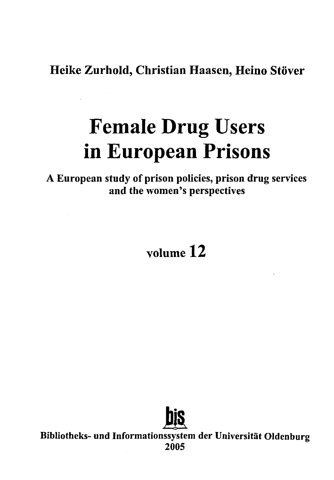Heike Zurhold, Christian Haasen, Heino Stöver

## **Female Drug Users in European Prisons**

A European study of prison policies, prison drug services and the women's perspectives

## volume 12



Bibliotheks- und Informationssystem der Universität Oldenburg 2005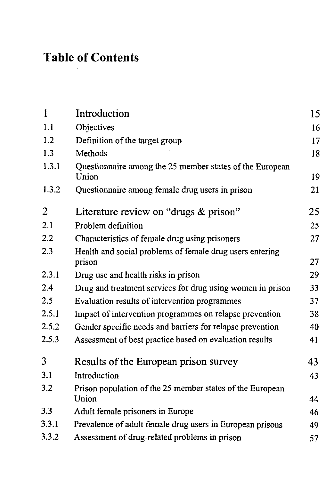## Table of Contents

| 1     | Introduction                                                       | 15 |
|-------|--------------------------------------------------------------------|----|
| 1.1   | Objectives                                                         | 16 |
| 1.2   | Definition of the target group                                     | 17 |
| 1.3   | Methods                                                            | 18 |
| 1.3.1 | Questionnaire among the 25 member states of the European<br>Union  | 19 |
| 1.3.2 | Questionnaire among female drug users in prison                    | 21 |
| 2     | Literature review on "drugs & prison"                              | 25 |
| 2.1   | Problem definition                                                 | 25 |
| 2.2   | Characteristics of female drug using prisoners                     | 27 |
| 2.3   | Health and social problems of female drug users entering<br>prison | 27 |
| 2.3.1 | Drug use and health risks in prison                                | 29 |
| 2.4   | Drug and treatment services for drug using women in prison         | 33 |
| 2.5   | Evaluation results of intervention programmes                      | 37 |
| 2.5.1 | Impact of intervention programmes on relapse prevention            | 38 |
| 2.5.2 | Gender specific needs and barriers for relapse prevention          | 40 |
| 2.5.3 | Assessment of best practice based on evaluation results            | 41 |
| 3     | Results of the European prison survey                              | 43 |
| 3.1   | Introduction                                                       | 43 |
| 3.2   | Prison population of the 25 member states of the European<br>Union | 44 |
| 3.3   | Adult female prisoners in Europe                                   | 46 |
| 3.3.1 | Prevalence of adult female drug users in European prisons          | 49 |
| 3.3.2 | Assessment of drug-related problems in prison                      | 57 |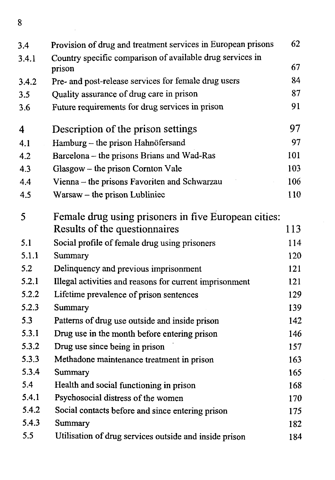$\overline{\mathbf{8}}$ 

| 3.4   | Provision of drug and treatment services in European prisons | 62  |
|-------|--------------------------------------------------------------|-----|
| 3.4.1 | Country specific comparison of available drug services in    |     |
|       | prison                                                       | 67  |
| 3.4.2 | Pre- and post-release services for female drug users         | 84  |
| 3.5   | Quality assurance of drug care in prison                     | 87  |
| 3.6   | Future requirements for drug services in prison              | 91  |
| 4     | Description of the prison settings                           | 97  |
| 4.1   | Hamburg - the prison Hahnöfersand                            | 97  |
| 4.2   | Barcelona -- the prisons Brians and Wad-Ras                  | 101 |
| 4.3   | Glasgow - the prison Cornton Vale                            | 103 |
| 4,4   | Vienna - the prisons Favoriten and Schwarzau                 | 106 |
| 4.5   | Warsaw - the prison Lubliniec                                | 110 |
| 5     | Female drug using prisoners in five European cities:         |     |
|       | Results of the questionnaires                                | 113 |
| 5.1   | Social profile of female drug using prisoners                | 114 |
| 5.1.1 | Summary                                                      | 120 |
| 5.2   | Delinquency and previous imprisonment                        | 121 |
| 5.2.1 | Illegal activities and reasons for current imprisonment      | 121 |
| 5.2.2 | Lifetime prevalence of prison sentences                      | 129 |
| 5.2.3 | Summary                                                      | 139 |
| 5.3   | Patterns of drug use outside and inside prison               | 142 |
| 5.3.1 | Drug use in the month before entering prison                 | 146 |
| 5.3.2 | Drug use since being in prison                               | 157 |
| 5.3.3 | Methadone maintenance treatment in prison                    | 163 |
| 5.3.4 | Summary                                                      | 165 |
| 5.4   | Health and social functioning in prison                      | 168 |
| 5.4.1 | Psychosocial distress of the women                           | 170 |
| 5.4.2 | Social contacts before and since entering prison             | 175 |
| 5.4.3 | Summary                                                      | 182 |
| 5.5   | Utilisation of drug services outside and inside prison       | 184 |